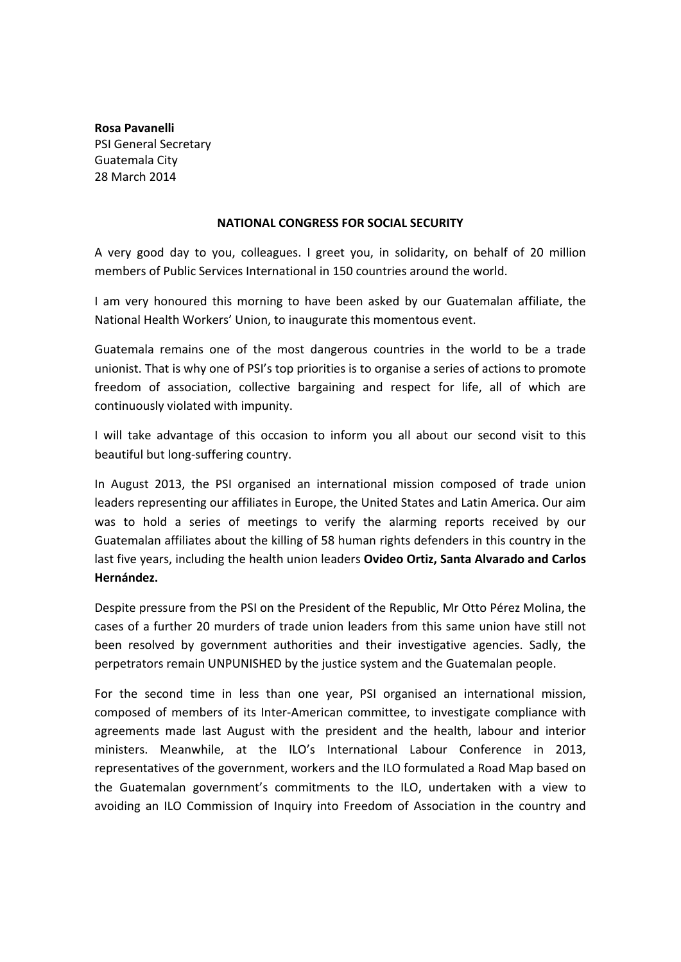**Rosa Pavanelli** PSI General Secretary Guatemala City 28 March 2014

## **NATIONAL CONGRESS FOR SOCIAL SECURITY**

A very good day to you, colleagues. I greet you, in solidarity, on behalf of 20 million members of Public Services International in 150 countries around the world.

I am very honoured this morning to have been asked by our Guatemalan affiliate, the National Health Workers' Union, to inaugurate this momentous event.

Guatemala remains one of the most dangerous countries in the world to be a trade unionist. That is why one of PSI's top priorities is to organise a series of actions to promote freedom of association, collective bargaining and respect for life, all of which are continuously violated with impunity.

I will take advantage of this occasion to inform you all about our second visit to this beautiful but long‐suffering country.

In August 2013, the PSI organised an international mission composed of trade union leaders representing our affiliates in Europe, the United States and Latin America. Our aim was to hold a series of meetings to verify the alarming reports received by our Guatemalan affiliates about the killing of 58 human rights defenders in this country in the last five years, including the health union leaders **Ovideo Ortiz, Santa Alvarado and Carlos Hernández.**

Despite pressure from the PSI on the President of the Republic, Mr Otto Pérez Molina, the cases of a further 20 murders of trade union leaders from this same union have still not been resolved by government authorities and their investigative agencies. Sadly, the perpetrators remain UNPUNISHED by the justice system and the Guatemalan people.

For the second time in less than one year, PSI organised an international mission, composed of members of its Inter‐American committee, to investigate compliance with agreements made last August with the president and the health, labour and interior ministers. Meanwhile, at the ILO's International Labour Conference in 2013, representatives of the government, workers and the ILO formulated a Road Map based on the Guatemalan government's commitments to the ILO, undertaken with a view to avoiding an ILO Commission of Inquiry into Freedom of Association in the country and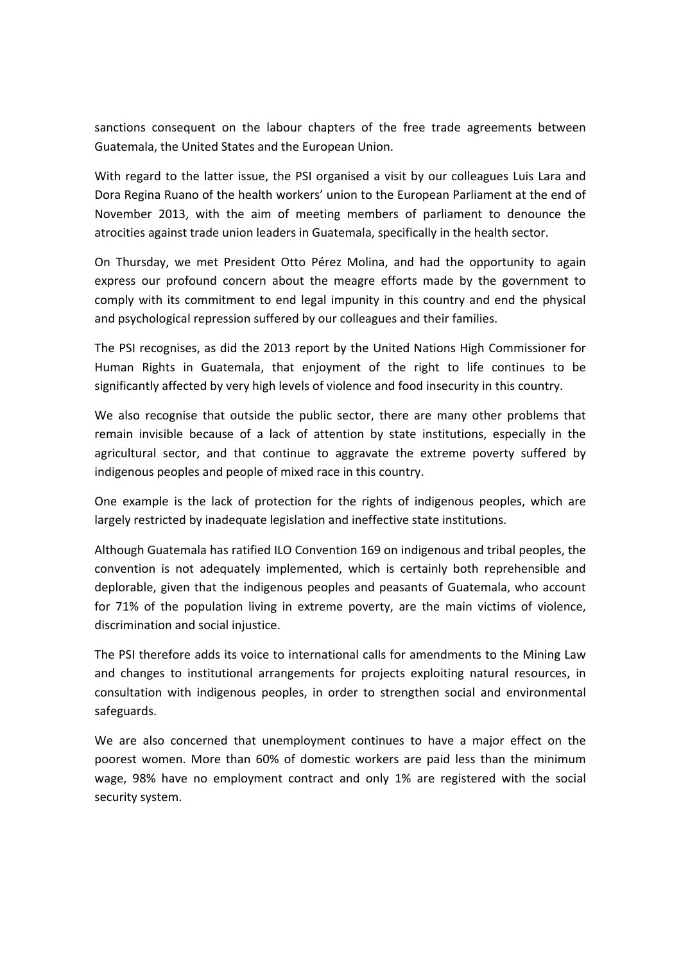sanctions consequent on the labour chapters of the free trade agreements between Guatemala, the United States and the European Union.

With regard to the latter issue, the PSI organised a visit by our colleagues Luis Lara and Dora Regina Ruano of the health workers' union to the European Parliament at the end of November 2013, with the aim of meeting members of parliament to denounce the atrocities against trade union leaders in Guatemala, specifically in the health sector.

On Thursday, we met President Otto Pérez Molina, and had the opportunity to again express our profound concern about the meagre efforts made by the government to comply with its commitment to end legal impunity in this country and end the physical and psychological repression suffered by our colleagues and their families.

The PSI recognises, as did the 2013 report by the United Nations High Commissioner for Human Rights in Guatemala, that enjoyment of the right to life continues to be significantly affected by very high levels of violence and food insecurity in this country.

We also recognise that outside the public sector, there are many other problems that remain invisible because of a lack of attention by state institutions, especially in the agricultural sector, and that continue to aggravate the extreme poverty suffered by indigenous peoples and people of mixed race in this country.

One example is the lack of protection for the rights of indigenous peoples, which are largely restricted by inadequate legislation and ineffective state institutions.

Although Guatemala has ratified ILO Convention 169 on indigenous and tribal peoples, the convention is not adequately implemented, which is certainly both reprehensible and deplorable, given that the indigenous peoples and peasants of Guatemala, who account for 71% of the population living in extreme poverty, are the main victims of violence, discrimination and social injustice.

The PSI therefore adds its voice to international calls for amendments to the Mining Law and changes to institutional arrangements for projects exploiting natural resources, in consultation with indigenous peoples, in order to strengthen social and environmental safeguards.

We are also concerned that unemployment continues to have a major effect on the poorest women. More than 60% of domestic workers are paid less than the minimum wage, 98% have no employment contract and only 1% are registered with the social security system.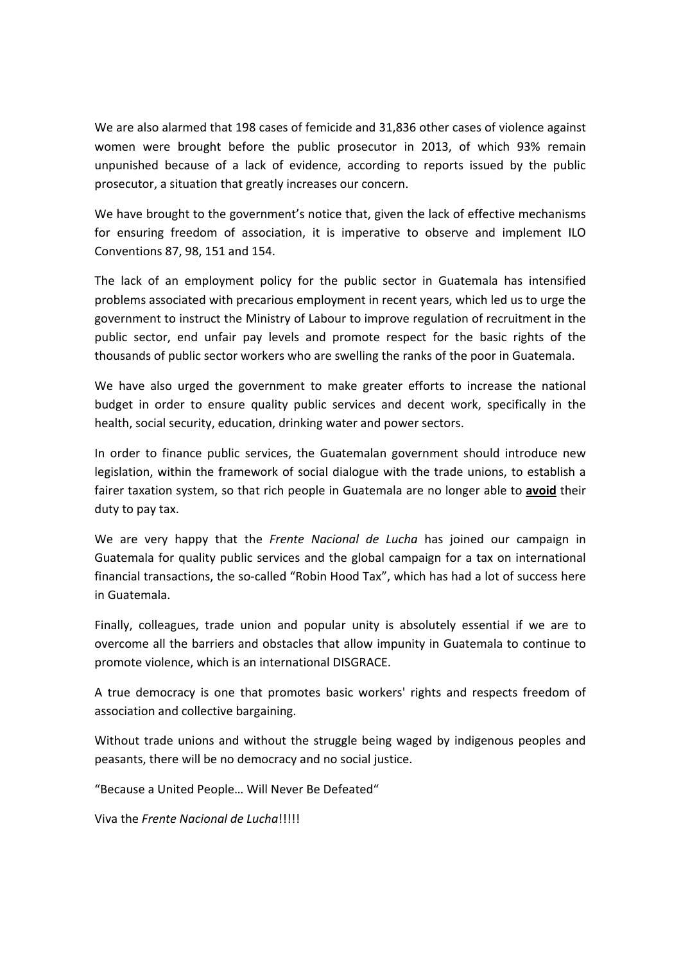We are also alarmed that 198 cases of femicide and 31,836 other cases of violence against women were brought before the public prosecutor in 2013, of which 93% remain unpunished because of a lack of evidence, according to reports issued by the public prosecutor, a situation that greatly increases our concern.

We have brought to the government's notice that, given the lack of effective mechanisms for ensuring freedom of association, it is imperative to observe and implement ILO Conventions 87, 98, 151 and 154.

The lack of an employment policy for the public sector in Guatemala has intensified problems associated with precarious employment in recent years, which led us to urge the government to instruct the Ministry of Labour to improve regulation of recruitment in the public sector, end unfair pay levels and promote respect for the basic rights of the thousands of public sector workers who are swelling the ranks of the poor in Guatemala.

We have also urged the government to make greater efforts to increase the national budget in order to ensure quality public services and decent work, specifically in the health, social security, education, drinking water and power sectors.

In order to finance public services, the Guatemalan government should introduce new legislation, within the framework of social dialogue with the trade unions, to establish a fairer taxation system, so that rich people in Guatemala are no longer able to **avoid** their duty to pay tax.

We are very happy that the *Frente Nacional de Lucha* has joined our campaign in Guatemala for quality public services and the global campaign for a tax on international financial transactions, the so-called "Robin Hood Tax", which has had a lot of success here in Guatemala.

Finally, colleagues, trade union and popular unity is absolutely essential if we are to overcome all the barriers and obstacles that allow impunity in Guatemala to continue to promote violence, which is an international DISGRACE.

A true democracy is one that promotes basic workers' rights and respects freedom of association and collective bargaining.

Without trade unions and without the struggle being waged by indigenous peoples and peasants, there will be no democracy and no social justice.

"Because a United People… Will Never Be Defeated"

Viva the *Frente Nacional de Lucha*!!!!!